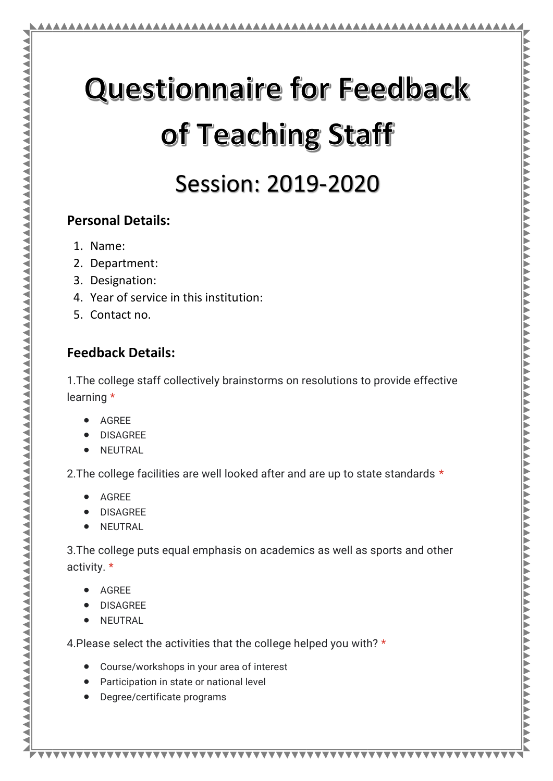# **Questionnaire for Feedback** of Teaching Staff

# Session: 2019-2020

#### **Personal Details:**

- 1. Name:
- 2. Department:
- 3. Designation:
- 4. Year of service in this institution:
- 5. Contact no.

#### **Feedback Details:**

1.The college staff collectively brainstorms on resolutions to provide effective learning \*

- AGREE
- DISAGREE
- **NEUTRAL**

2. The college facilities are well looked after and are up to state standards \*

- AGREE
- DISAGREE
- NEUTRAL

3.The college puts equal emphasis on academics as well as sports and other activity. \*

\*\*\*\*\*\*\*\*\*\*\*\*\*\*\*\*\*\*\*\*\*\*\*\*\*\*\*\*\*\*\*\*\*\*\*\*\*

- AGREE
- DISAGREE
- NEUTRAL

4.Please select the activities that the college helped you with? \*

- Course/workshops in your area of interest
- Participation in state or national level
- Degree/certificate programs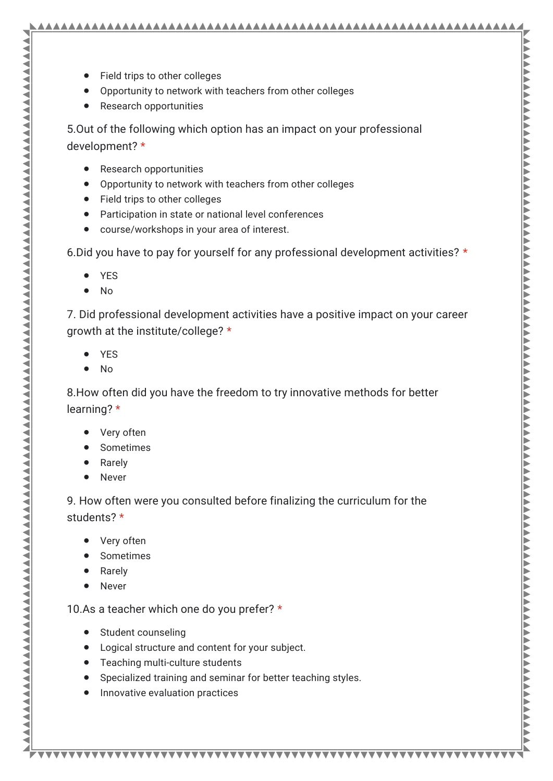- Field trips to other colleges
- Opportunity to network with teachers from other colleges
- Research opportunities

5.Out of the following which option has an impact on your professional development? \*

- Research opportunities
- Opportunity to network with teachers from other colleges
- Field trips to other colleges
- Participation in state or national level conferences
- course/workshops in your area of interest.

6.Did you have to pay for yourself for any professional development activities? \*

- YES
- $\bullet$  No

7. Did professional development activities have a positive impact on your career growth at the institute/college? \*

- YES
- No

8.How often did you have the freedom to try innovative methods for better learning? \*

- Very often
- Sometimes
- Rarely
- Never

9. How often were you consulted before finalizing the curriculum for the students? \*

- Very often
- Sometimes
- Rarely
- Never

10.As a teacher which one do you prefer? \*

- Student counseling
- Logical structure and content for your subject.
- Teaching multi-culture students
- Specialized training and seminar for better teaching styles.

• Innovative evaluation practices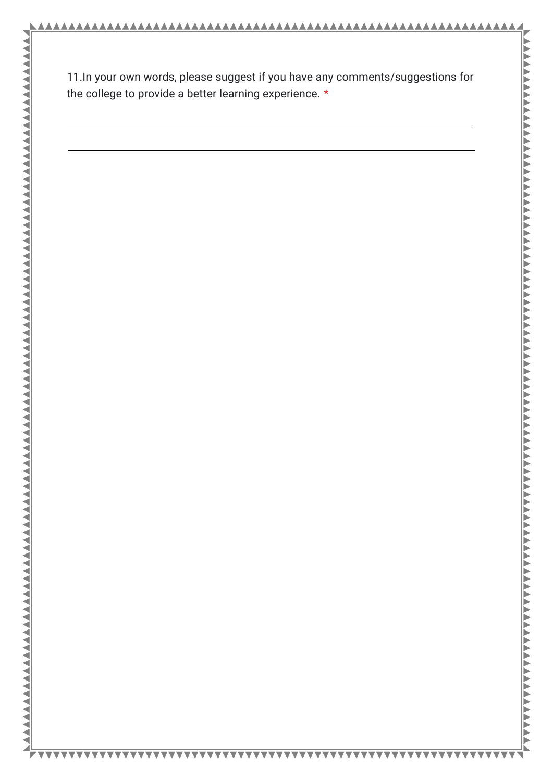11.In your own words, please suggest if you have any comments/suggestions for the college to provide a better learning experience. \*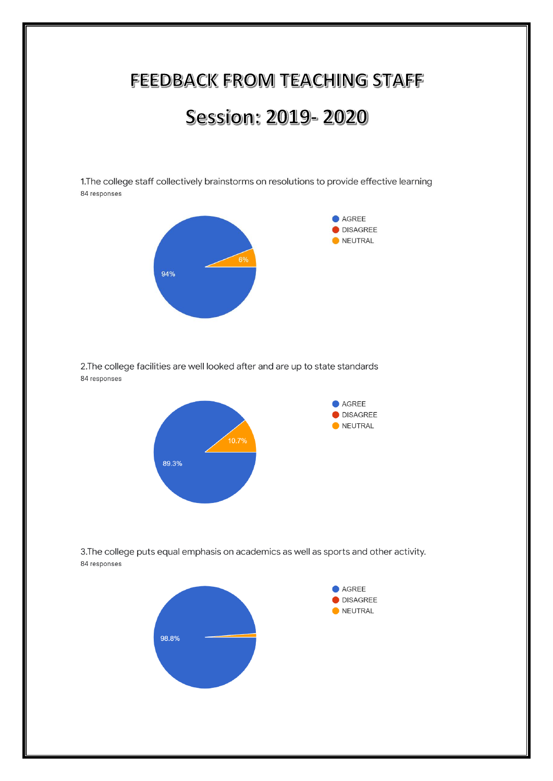### FEEDBACK FROM TEACHING STAFF

## Session: 2019-2020

1. The college staff collectively brainstorms on resolutions to provide effective learning 84 responses



2. The college facilities are well looked after and are up to state standards 84 responses



3. The college puts equal emphasis on academics as well as sports and other activity. 84 responses

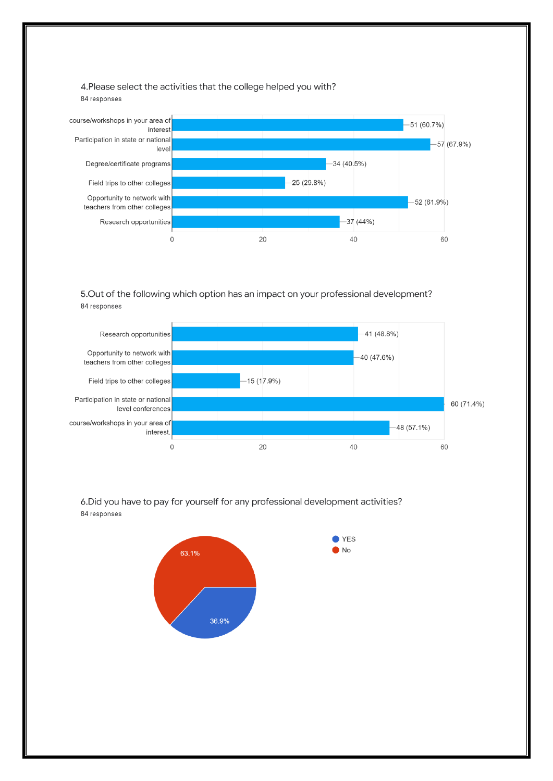4. Please select the activities that the college helped you with? 84 responses



5. Out of the following which option has an impact on your professional development? 84 responses



6. Did you have to pay for yourself for any professional development activities? 84 responses

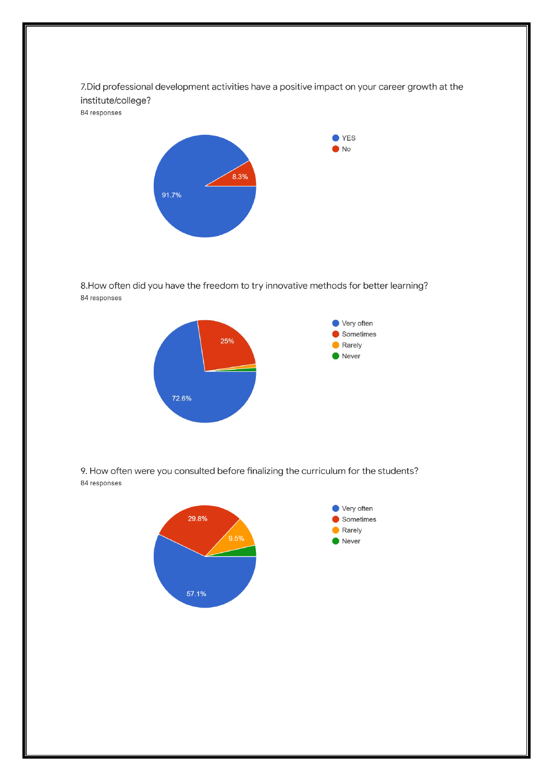7. Did professional development activities have a positive impact on your career growth at the institute/college? 84 responses



8. How often did you have the freedom to try innovative methods for better learning? 84 responses



9. How often were you consulted before finalizing the curriculum for the students? 84 responses